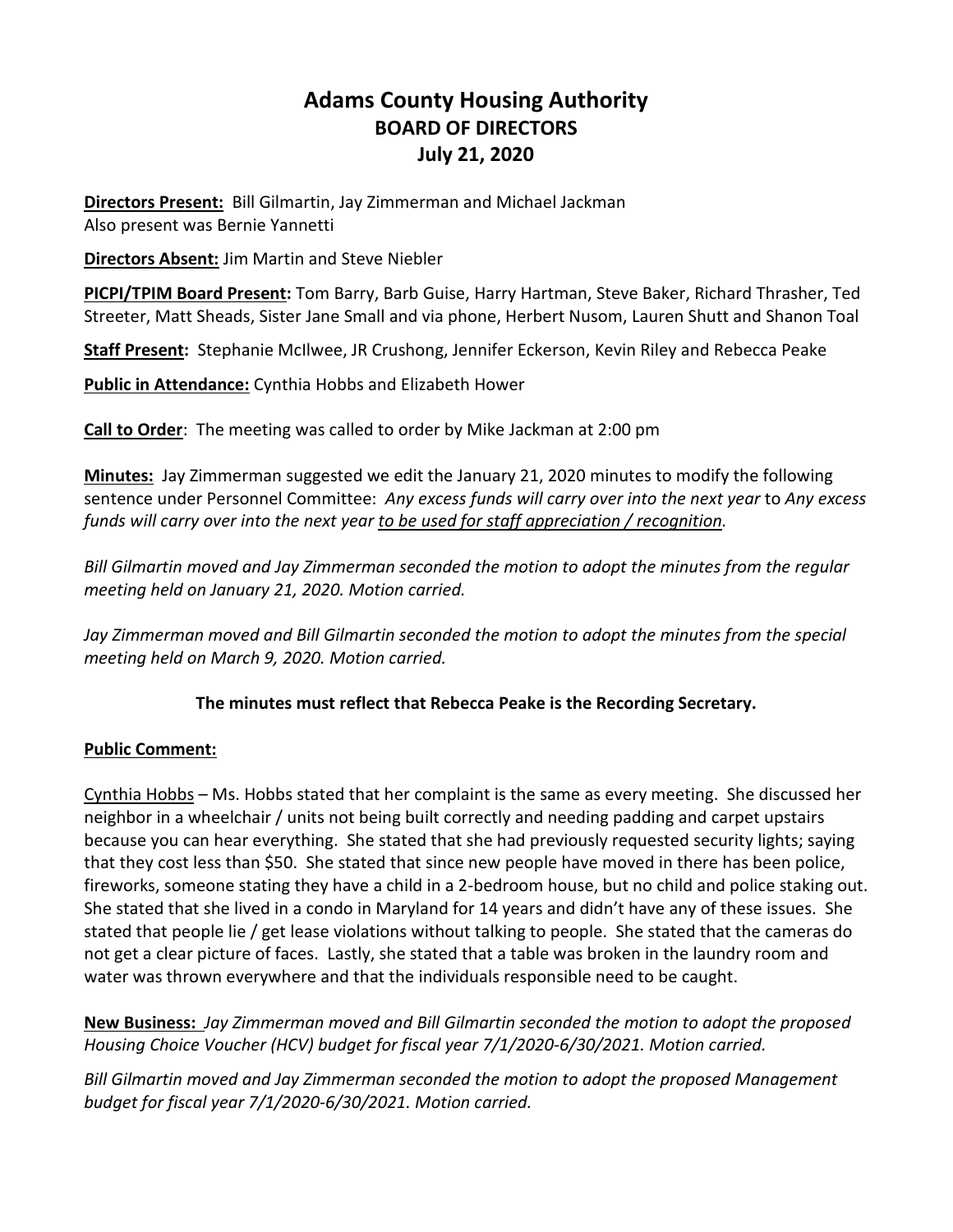# **Adams County Housing Authority BOARD OF DIRECTORS July 21, 2020**

**Directors Present:** Bill Gilmartin, Jay Zimmerman and Michael Jackman Also present was Bernie Yannetti

**Directors Absent:** Jim Martin and Steve Niebler

**PICPI/TPIM Board Present:** Tom Barry, Barb Guise, Harry Hartman, Steve Baker, Richard Thrasher, Ted Streeter, Matt Sheads, Sister Jane Small and via phone, Herbert Nusom, Lauren Shutt and Shanon Toal

**Staff Present:** Stephanie McIlwee, JR Crushong, Jennifer Eckerson, Kevin Riley and Rebecca Peake

**Public in Attendance:** Cynthia Hobbs and Elizabeth Hower

**Call to Order**: The meeting was called to order by Mike Jackman at 2:00 pm

**Minutes:** Jay Zimmerman suggested we edit the January 21, 2020 minutes to modify the following sentence under Personnel Committee: *Any excess funds will carry over into the next year* to *Any excess funds will carry over into the next year to be used for staff appreciation / recognition.*

*Bill Gilmartin moved and Jay Zimmerman seconded the motion to adopt the minutes from the regular meeting held on January 21, 2020. Motion carried.*

Jay Zimmerman moved and Bill Gilmartin seconded the motion to adopt the minutes from the special *meeting held on March 9, 2020. Motion carried.*

# **The minutes must reflect that Rebecca Peake is the Recording Secretary.**

# **Public Comment:**

Cynthia Hobbs – Ms. Hobbs stated that her complaint is the same as every meeting. She discussed her neighbor in a wheelchair / units not being built correctly and needing padding and carpet upstairs because you can hear everything. She stated that she had previously requested security lights; saying that they cost less than \$50. She stated that since new people have moved in there has been police, fireworks, someone stating they have a child in a 2-bedroom house, but no child and police staking out. She stated that she lived in a condo in Maryland for 14 years and didn't have any of these issues. She stated that people lie / get lease violations without talking to people. She stated that the cameras do not get a clear picture of faces. Lastly, she stated that a table was broken in the laundry room and water was thrown everywhere and that the individuals responsible need to be caught.

**New Business:** *Jay Zimmerman moved and Bill Gilmartin seconded the motion to adopt the proposed Housing Choice Voucher (HCV) budget for fiscal year 7/1/2020-6/30/2021. Motion carried.*

*Bill Gilmartin moved and Jay Zimmerman seconded the motion to adopt the proposed Management budget for fiscal year 7/1/2020-6/30/2021. Motion carried.*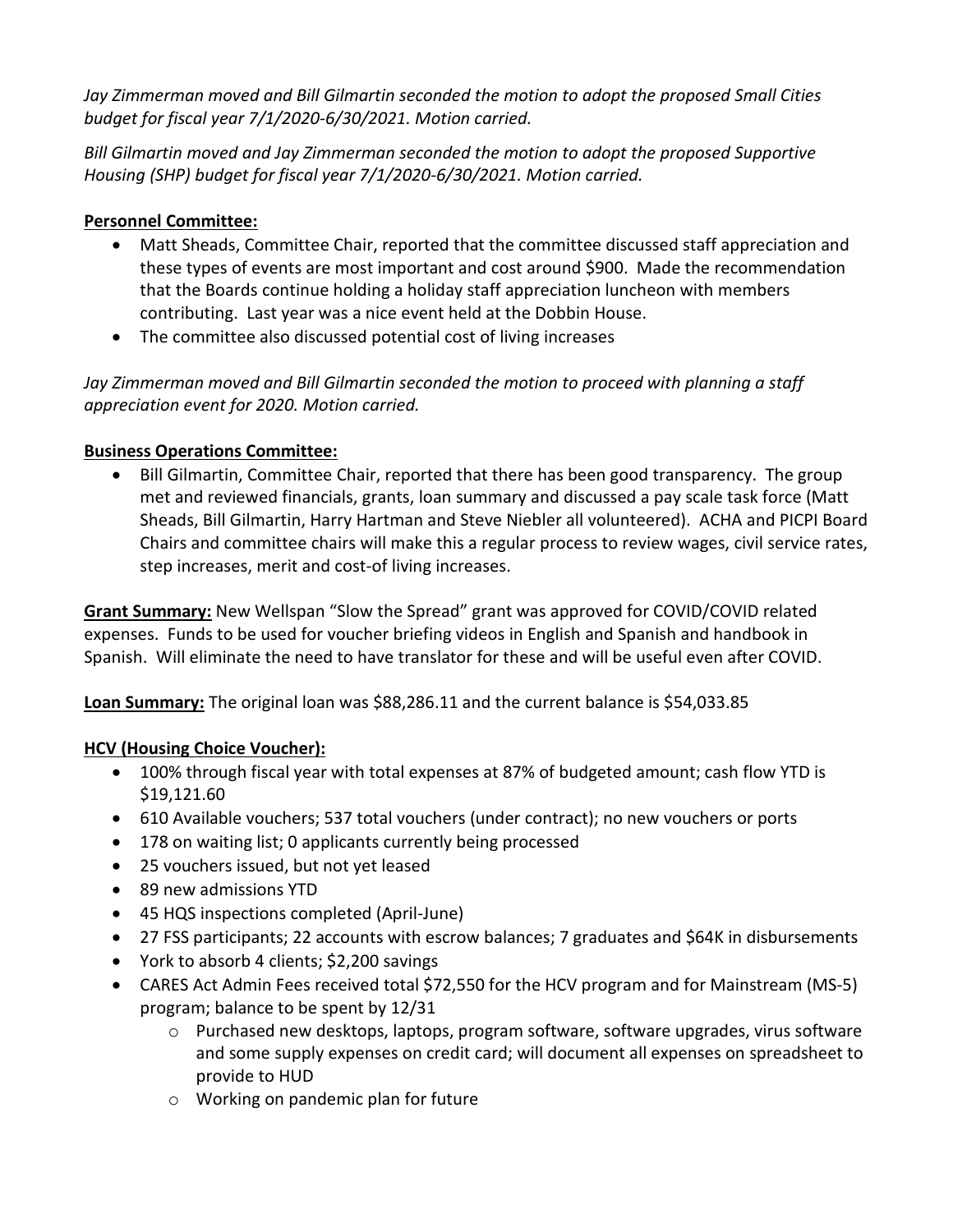*Jay Zimmerman moved and Bill Gilmartin seconded the motion to adopt the proposed Small Cities budget for fiscal year 7/1/2020-6/30/2021. Motion carried.*

*Bill Gilmartin moved and Jay Zimmerman seconded the motion to adopt the proposed Supportive Housing (SHP) budget for fiscal year 7/1/2020-6/30/2021. Motion carried.*

# **Personnel Committee:**

- Matt Sheads, Committee Chair, reported that the committee discussed staff appreciation and these types of events are most important and cost around \$900. Made the recommendation that the Boards continue holding a holiday staff appreciation luncheon with members contributing. Last year was a nice event held at the Dobbin House.
- The committee also discussed potential cost of living increases

*Jay Zimmerman moved and Bill Gilmartin seconded the motion to proceed with planning a staff appreciation event for 2020. Motion carried.*

# **Business Operations Committee:**

• Bill Gilmartin, Committee Chair, reported that there has been good transparency. The group met and reviewed financials, grants, loan summary and discussed a pay scale task force (Matt Sheads, Bill Gilmartin, Harry Hartman and Steve Niebler all volunteered). ACHA and PICPI Board Chairs and committee chairs will make this a regular process to review wages, civil service rates, step increases, merit and cost-of living increases.

**Grant Summary:** New Wellspan "Slow the Spread" grant was approved for COVID/COVID related expenses. Funds to be used for voucher briefing videos in English and Spanish and handbook in Spanish. Will eliminate the need to have translator for these and will be useful even after COVID.

**Loan Summary:** The original loan was \$88,286.11 and the current balance is \$54,033.85

# **HCV (Housing Choice Voucher):**

- 100% through fiscal year with total expenses at 87% of budgeted amount; cash flow YTD is \$19,121.60
- 610 Available vouchers; 537 total vouchers (under contract); no new vouchers or ports
- 178 on waiting list; 0 applicants currently being processed
- 25 vouchers issued, but not yet leased
- 89 new admissions YTD
- 45 HQS inspections completed (April-June)
- 27 FSS participants; 22 accounts with escrow balances; 7 graduates and \$64K in disbursements
- York to absorb 4 clients; \$2,200 savings
- CARES Act Admin Fees received total \$72,550 for the HCV program and for Mainstream (MS-5) program; balance to be spent by 12/31
	- $\circ$  Purchased new desktops, laptops, program software, software upgrades, virus software and some supply expenses on credit card; will document all expenses on spreadsheet to provide to HUD
	- o Working on pandemic plan for future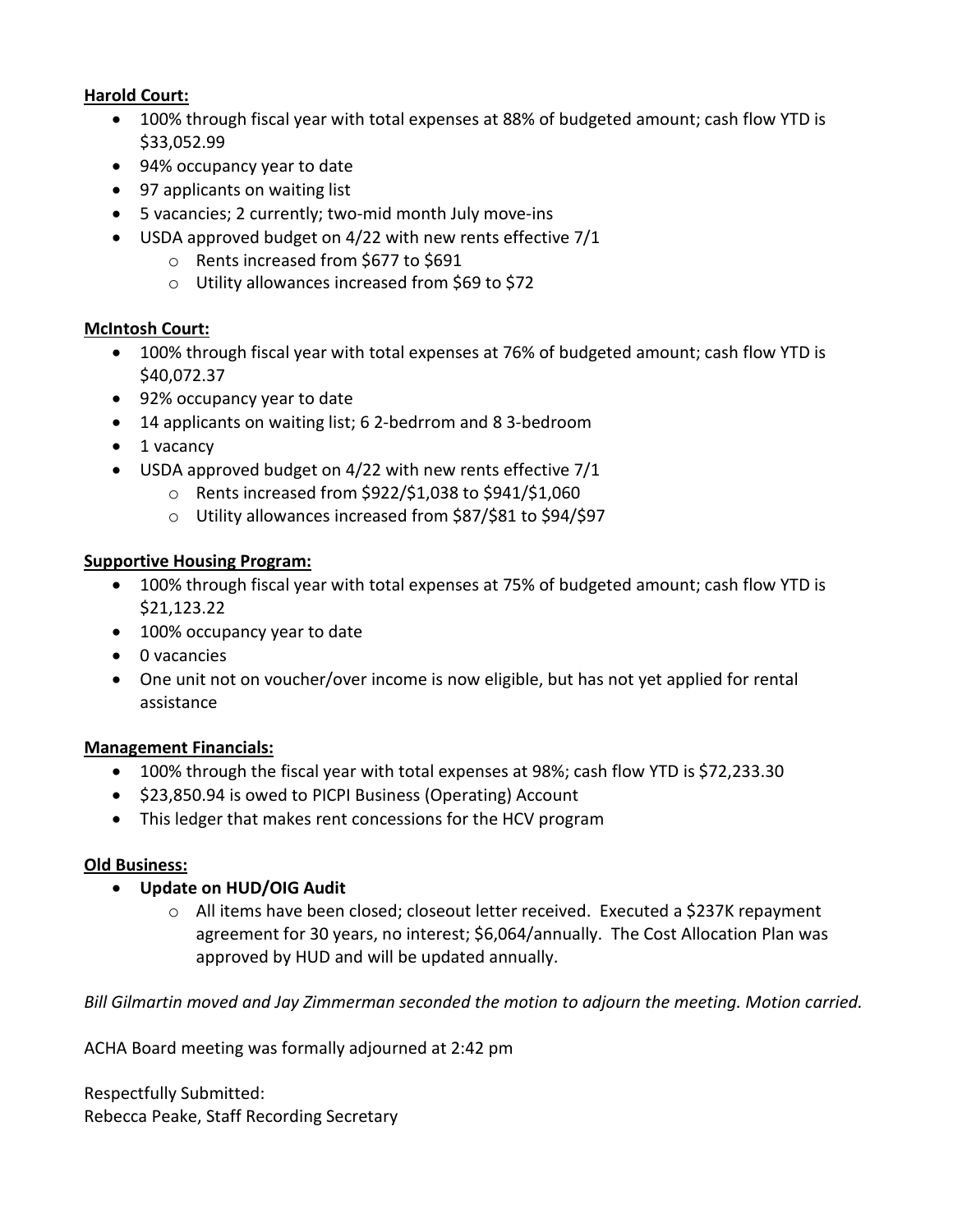### **Harold Court:**

- 100% through fiscal year with total expenses at 88% of budgeted amount; cash flow YTD is \$33,052.99
- 94% occupancy year to date
- 97 applicants on waiting list
- 5 vacancies; 2 currently; two-mid month July move-ins
- USDA approved budget on 4/22 with new rents effective 7/1
	- o Rents increased from \$677 to \$691
	- o Utility allowances increased from \$69 to \$72

# **McIntosh Court:**

- 100% through fiscal year with total expenses at 76% of budgeted amount; cash flow YTD is \$40,072.37
- 92% occupancy year to date
- 14 applicants on waiting list; 6 2-bedrrom and 8 3-bedroom
- 1 vacancy
- USDA approved budget on 4/22 with new rents effective 7/1
	- o Rents increased from \$922/\$1,038 to \$941/\$1,060
	- o Utility allowances increased from \$87/\$81 to \$94/\$97

# **Supportive Housing Program:**

- 100% through fiscal year with total expenses at 75% of budgeted amount; cash flow YTD is \$21,123.22
- 100% occupancy year to date
- 0 vacancies
- One unit not on voucher/over income is now eligible, but has not yet applied for rental assistance

#### **Management Financials:**

- 100% through the fiscal year with total expenses at 98%; cash flow YTD is \$72,233.30
- \$23,850.94 is owed to PICPI Business (Operating) Account
- This ledger that makes rent concessions for the HCV program

#### **Old Business:**

- **Update on HUD/OIG Audit**
	- $\circ$  All items have been closed; closeout letter received. Executed a \$237K repayment agreement for 30 years, no interest; \$6,064/annually. The Cost Allocation Plan was approved by HUD and will be updated annually.

*Bill Gilmartin moved and Jay Zimmerman seconded the motion to adjourn the meeting. Motion carried.*

ACHA Board meeting was formally adjourned at 2:42 pm

Respectfully Submitted: Rebecca Peake, Staff Recording Secretary